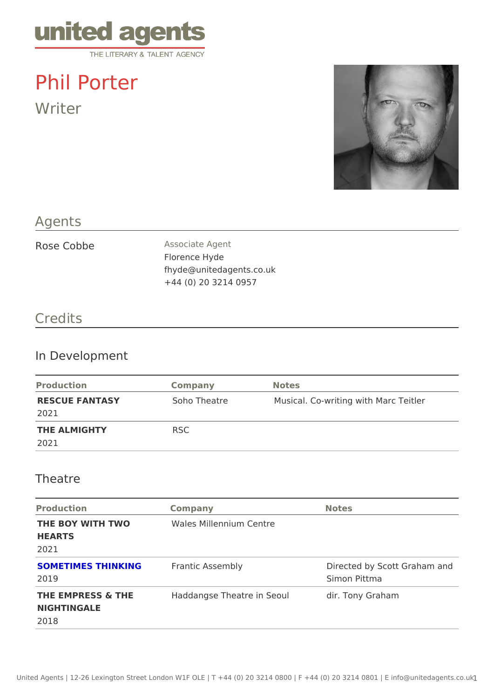# Phil Porter

Writer

### Agents

|  | Rose Cobbe | Associate Agent          |
|--|------------|--------------------------|
|  |            | Florence Hyde            |
|  |            | fhyde@unitedagents.co.uk |
|  |            | +44 (0) 20 3214 0957     |
|  |            |                          |

# Credits

#### In Development

| Production             | Company      | Notes                                 |  |
|------------------------|--------------|---------------------------------------|--|
| RESCUE FANTASY<br>2021 | Soho Theatre | Musical. Co-writing with Marc Teitler |  |
| THE ALMIGHTY<br>2021   | R S C        |                                       |  |

#### Theatre

| Production                                  | Company                                                    | Notes                                       |  |
|---------------------------------------------|------------------------------------------------------------|---------------------------------------------|--|
| <b>HEARTS</b><br>2021                       | THE BOY WITH TWO Wales Millennium Centre                   |                                             |  |
| SOMETIMES THINKING Frantic Assembly<br>2019 |                                                            | Directed by Scott Graham ar<br>Simon Pittma |  |
| NIGHTINGALE<br>2018                         | THE EMPRESS & THE Haddangse Theatre in Seodir. Tony Graham |                                             |  |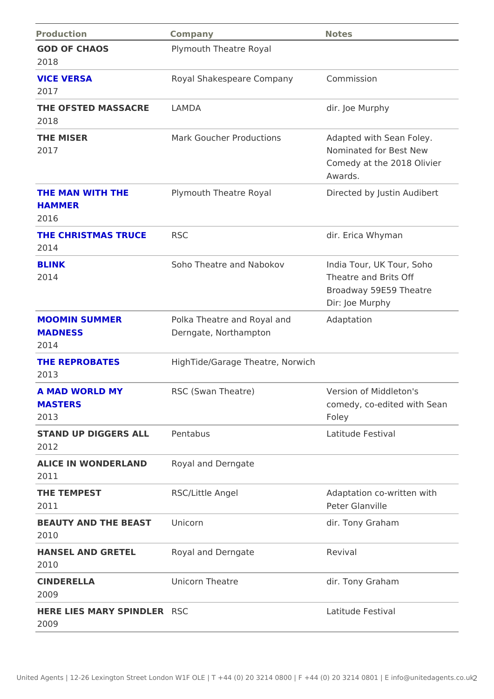| Company                                                      | Notes                                                                                                                                                                                                                       |
|--------------------------------------------------------------|-----------------------------------------------------------------------------------------------------------------------------------------------------------------------------------------------------------------------------|
| Plymouth Theatre Royal                                       |                                                                                                                                                                                                                             |
| Royal Shakespeare Compa Cyommission                          |                                                                                                                                                                                                                             |
|                                                              | dir. Joe Murphy                                                                                                                                                                                                             |
|                                                              | Mark Goucher Productions Adapted with Sean Foley.<br>Nominated for Best New<br>Comedy at the 2018 Olivier<br>Awards.                                                                                                        |
| Plymouth Theatre Royal                                       | Directed by Justin Audibert                                                                                                                                                                                                 |
|                                                              | dir. Erica Whyman                                                                                                                                                                                                           |
|                                                              | Soho Theatre and NabokovIndia Tour, UK Tour, Soho<br>Theatre and Brits Off<br>Broadway 59E59 Theatre<br>Dir: Joe Murphy                                                                                                     |
| Polka Theatre and Royal aAdaptation<br>Derngate, Northampton |                                                                                                                                                                                                                             |
| HighTide/Garage Theatre, Norwich                             |                                                                                                                                                                                                                             |
| RSC (Swan Theatre)                                           | Version of Middleton's<br>comedy, co-edited with Sear<br>Foley                                                                                                                                                              |
|                                                              | Latitude Festival                                                                                                                                                                                                           |
|                                                              |                                                                                                                                                                                                                             |
| RSC/Little Angel                                             | Adaptation co-written with<br>Peter Glanville                                                                                                                                                                               |
|                                                              | dir. Tony Graham                                                                                                                                                                                                            |
|                                                              | Revival                                                                                                                                                                                                                     |
| Unicorn Theatre                                              | dir. Tony Graham                                                                                                                                                                                                            |
|                                                              | Latitude Festival                                                                                                                                                                                                           |
|                                                              | THE OFSTED MASSACRLEAMDA<br>THE CHRISTMAS TRUCRSC<br>STAND UP DIGGERS ALPLentabus<br>ALICE IN WONDERLAN Royal and Derngate<br>BEAUTY AND THE BEASThicorn<br>HANSEL AND GRETEL Royal and Derngate<br>HERE LIES MARY SPINDSER |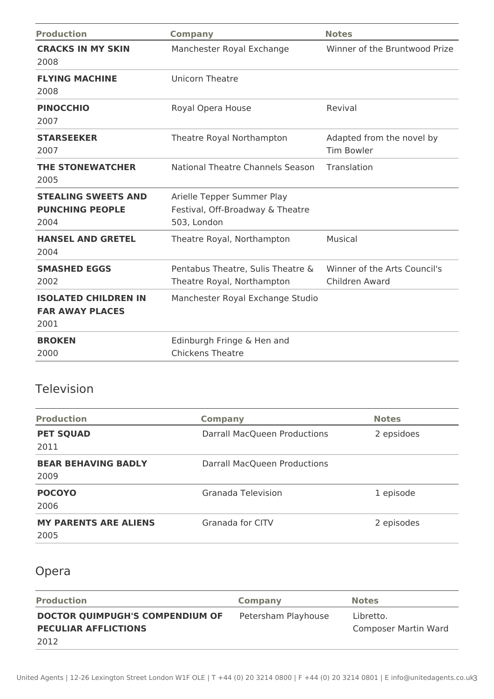| <b>Production</b>                                             | <b>Company</b>                                                                | <b>Notes</b>                                   |
|---------------------------------------------------------------|-------------------------------------------------------------------------------|------------------------------------------------|
| <b>CRACKS IN MY SKIN</b><br>2008                              | Manchester Royal Exchange                                                     | Winner of the Bruntwood Prize                  |
| <b>FLYING MACHINE</b><br>2008                                 | <b>Unicorn Theatre</b>                                                        |                                                |
| <b>PINOCCHIO</b><br>2007                                      | Royal Opera House                                                             | Revival                                        |
| <b>STARSEEKER</b><br>2007                                     | Theatre Royal Northampton                                                     | Adapted from the novel by<br><b>Tim Bowler</b> |
| <b>THE STONEWATCHER</b><br>2005                               | National Theatre Channels Season                                              | Translation                                    |
| <b>STEALING SWEETS AND</b><br><b>PUNCHING PEOPLE</b><br>2004  | Arielle Tepper Summer Play<br>Festival, Off-Broadway & Theatre<br>503, London |                                                |
| <b>HANSEL AND GRETEL</b><br>2004                              | Theatre Royal, Northampton                                                    | Musical                                        |
| <b>SMASHED EGGS</b><br>2002                                   | Pentabus Theatre, Sulis Theatre &<br>Theatre Royal, Northampton               | Winner of the Arts Council's<br>Children Award |
| <b>ISOLATED CHILDREN IN</b><br><b>FAR AWAY PLACES</b><br>2001 | Manchester Royal Exchange Studio                                              |                                                |
| <b>BROKEN</b><br>2000                                         | Edinburgh Fringe & Hen and<br><b>Chickens Theatre</b>                         |                                                |

## Television

| <b>Production</b>                    | <b>Company</b>                      | <b>Notes</b> |
|--------------------------------------|-------------------------------------|--------------|
| <b>PET SQUAD</b><br>2011             | <b>Darrall MacQueen Productions</b> | 2 epsidoes   |
| <b>BEAR BEHAVING BADLY</b><br>2009   | Darrall MacQueen Productions        |              |
| <b>POCOYO</b><br>2006                | Granada Television                  | 1 episode    |
| <b>MY PARENTS ARE ALIENS</b><br>2005 | <b>Granada for CITV</b>             | 2 episodes   |

# Opera

| <b>Production</b>               | Company             | <b>Notes</b>         |
|---------------------------------|---------------------|----------------------|
| DOCTOR QUIMPUGH'S COMPENDIUM OF | Petersham Playhouse | Libretto.            |
| <b>PECULIAR AFFLICTIONS</b>     |                     | Composer Martin Ward |
| 2012                            |                     |                      |